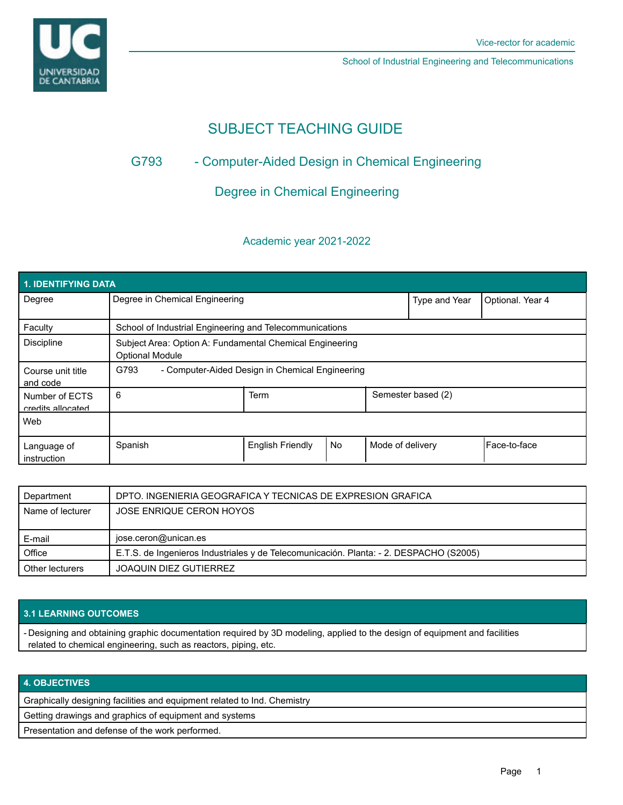

School of Industrial Engineering and Telecommunications

# SUBJECT TEACHING GUIDE

# G793 - Computer-Aided Design in Chemical Engineering

## Degree in Chemical Engineering

### Academic year 2021-2022

| <b>1. IDENTIFYING DATA</b>          |                                                                                    |                         |    |                    |                  |              |
|-------------------------------------|------------------------------------------------------------------------------------|-------------------------|----|--------------------|------------------|--------------|
| Degree                              | Degree in Chemical Engineering                                                     |                         |    | Type and Year      | Optional. Year 4 |              |
| Faculty                             | School of Industrial Engineering and Telecommunications                            |                         |    |                    |                  |              |
| <b>Discipline</b>                   | Subject Area: Option A: Fundamental Chemical Engineering<br><b>Optional Module</b> |                         |    |                    |                  |              |
| Course unit title<br>and code       | G793<br>- Computer-Aided Design in Chemical Engineering                            |                         |    |                    |                  |              |
| Number of ECTS<br>credits allocated | 6                                                                                  | Term                    |    | Semester based (2) |                  |              |
| Web                                 |                                                                                    |                         |    |                    |                  |              |
| Language of<br>instruction          | Spanish                                                                            | <b>English Friendly</b> | No | Mode of delivery   |                  | Face-to-face |

| Department       | DPTO. INGENIERIA GEOGRAFICA Y TECNICAS DE EXPRESION GRAFICA                            |  |  |
|------------------|----------------------------------------------------------------------------------------|--|--|
| Name of lecturer | JOSE ENRIQUE CERON HOYOS                                                               |  |  |
|                  |                                                                                        |  |  |
| E-mail           | jose.ceron@unican.es                                                                   |  |  |
| Office           | E.T.S. de Ingenieros Industriales y de Telecomunicación. Planta: - 2. DESPACHO (S2005) |  |  |
|                  |                                                                                        |  |  |

#### **3.1 LEARNING OUTCOMES**

- Designing and obtaining graphic documentation required by 3D modeling, applied to the design of equipment and facilities related to chemical engineering, such as reactors, piping, etc.

### **4. OBJECTIVES**

Graphically designing facilities and equipment related to Ind. Chemistry

Getting drawings and graphics of equipment and systems

Presentation and defense of the work performed.